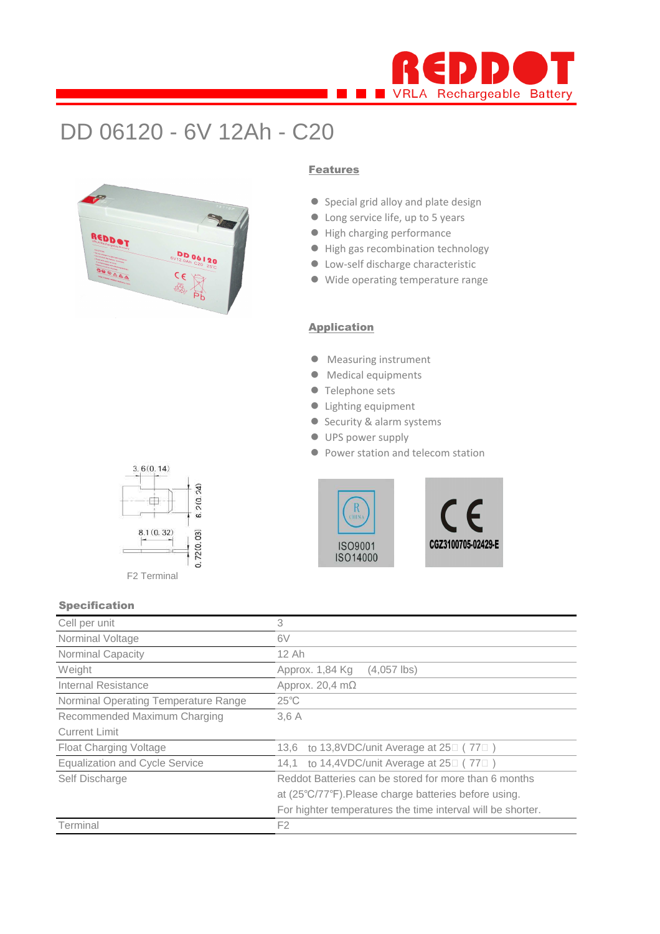

# DD 06120 - 6V 12Ah - C20



#### Features

- Special grid alloy and plate design
- Long service life, up to 5 years
- High charging performance
- $\bullet$  High gas recombination technology
- **Low-self discharge characteristic**
- Wide operating temperature range

#### **Application**

- Measuring instrument
- $\bullet$  Medical equipments
- **Telephone sets**
- Lighting equipment
- Security & alarm systems
- $\bullet$  UPS power supply
- **Power station and telecom station**





# $3.6(0.14)$  $6.2(0.24)$ 中.  $0.72(0.03)$  $8.1(0.32)$ F2 Terminal

#### Specification

| Cell per unit                         | 3                                                              |  |  |  |  |  |  |  |
|---------------------------------------|----------------------------------------------------------------|--|--|--|--|--|--|--|
| Norminal Voltage                      | 6V                                                             |  |  |  |  |  |  |  |
| Norminal Capacity                     | 12 Ah                                                          |  |  |  |  |  |  |  |
| Weight                                | Approx. 1,84 Kg<br>$(4,057$ lbs)                               |  |  |  |  |  |  |  |
| Internal Resistance                   | Approx. 20,4 $m\Omega$                                         |  |  |  |  |  |  |  |
| Norminal Operating Temperature Range  | $25^{\circ}$ C                                                 |  |  |  |  |  |  |  |
| Recommended Maximum Charging          | 3.6A                                                           |  |  |  |  |  |  |  |
| <b>Current Limit</b>                  |                                                                |  |  |  |  |  |  |  |
| Float Charging Voltage                | to 13,8VDC/unit Average at $25\degree$ (77 $\degree$ )<br>13.6 |  |  |  |  |  |  |  |
| <b>Equalization and Cycle Service</b> | 14,1 to 14,4VDC/unit Average at 25□ (77□)                      |  |  |  |  |  |  |  |
| Self Discharge                        | Reddot Batteries can be stored for more than 6 months          |  |  |  |  |  |  |  |
|                                       | at (25°C/77°F). Please charge batteries before using.          |  |  |  |  |  |  |  |
|                                       | For highter temperatures the time interval will be shorter.    |  |  |  |  |  |  |  |
| Terminal                              | F <sub>2</sub>                                                 |  |  |  |  |  |  |  |